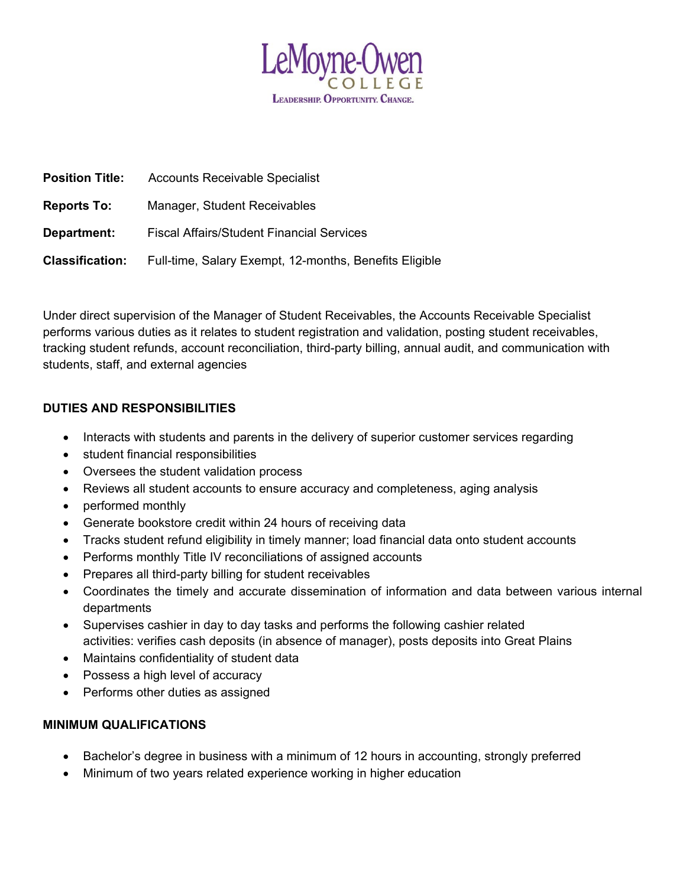

| <b>Position Title:</b> | <b>Accounts Receivable Specialist</b>                  |
|------------------------|--------------------------------------------------------|
| <b>Reports To:</b>     | Manager, Student Receivables                           |
| Department:            | <b>Fiscal Affairs/Student Financial Services</b>       |
| <b>Classification:</b> | Full-time, Salary Exempt, 12-months, Benefits Eligible |

Under direct supervision of the Manager of Student Receivables, the Accounts Receivable Specialist performs various duties as it relates to student registration and validation, posting student receivables, tracking student refunds, account reconciliation, third-party billing, annual audit, and communication with students, staff, and external agencies

# **DUTIES AND RESPONSIBILITIES**

- Interacts with students and parents in the delivery of superior customer services regarding
- student financial responsibilities
- Oversees the student validation process
- Reviews all student accounts to ensure accuracy and completeness, aging analysis
- performed monthly
- Generate bookstore credit within 24 hours of receiving data
- Tracks student refund eligibility in timely manner; load financial data onto student accounts
- Performs monthly Title IV reconciliations of assigned accounts
- Prepares all third-party billing for student receivables
- Coordinates the timely and accurate dissemination of information and data between various internal departments
- Supervises cashier in day to day tasks and performs the following cashier related activities: verifies cash deposits (in absence of manager), posts deposits into Great Plains
- Maintains confidentiality of student data
- Possess a high level of accuracy
- Performs other duties as assigned

## **MINIMUM QUALIFICATIONS**

- Bachelor's degree in business with a minimum of 12 hours in accounting, strongly preferred
- Minimum of two years related experience working in higher education